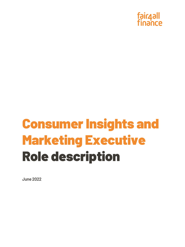

# **Consumer Insights and** Marketing Executive Role description

**June 2022**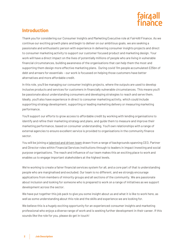

# **Introduction**

Thank you for considering our Consumer Insights and Marketing Executive role at Fair4All Finance. As we continue our exciting growth plans and begin to deliver on our ambitious goals, we are seeking a passionate and enthusiastic person with experience in delivering consumer insights projects and direct to consumer marketing activity to support our customer focused product and marketing design. Your work will have a direct impact on the lives of potentially millions of people who are living in vulnerable financial circumstances, building awareness of the organisations that can help them the most and supporting them design more effective marketing plans. During covid 11m people accumulated £25bn of debt and arrears for essentials – our work is focussed on helping those customers have better alternatives and more affordable credit.

In this role, you'll be managing our consumer insights projects, where the outputs are used to develop inclusive products and services for customers in financially vulnerable circumstances. This means you'll be passionate about understanding consumers and developing strategies to reach and serve them. Ideally, you'll also have experience in direct to consumer marketing activity, which could include supporting strategy development, supporting or leading marketing delivery or measuring marketing performance.

You'll support our efforts to grow access to affordable credit by working with lending organisations to identify and refine their marketing strategy and plans, and guide them to measure and improve their marketing performance, based on consumer understanding. You'll own relationships with a range of external agencies to ensure excellent service is provided to organisations in the community finance sector.

You will be joining a [talented and driven team](https://fair4allfinance.org.uk/about-fair4all#team) drawn from a range of backgrounds spanning CEO, Partner and Director roles within Financial Services institutions through to leaders in impact investing and social purpose organisations. The reach and influence of our team makes this an exciting place to work and enables us to engage important stakeholders at the highest levels.

We're working to create a fairer financial services system for all, and a core part of that is understanding people who are marginalised and excluded. Our team is no different, and we strongly encourage applications from members of minority groups and all sections of the community. We are passionate about inclusion and looking for someone who is prepared to work on a range of initiatives as we support development across the sector.

We have put together this job pack to give you some insight about us and what it is like to work here, as well as some understanding about this role and the skills and experience we are looking for.

We believe this is a hugely exciting opportunity for an experienced consumer insights and marketing professional who enjoys a diverse range of work and is seeking further development in their career. If this sounds like the role for you, please do get in touch!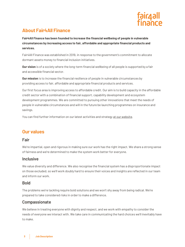

# **About Fair4All Finance**

**Fair4All Finance has been founded to increase the financial wellbeing of people in vulnerable circumstances by increasing access to fair, affordable and appropriate financial products and services.**

Fair4All Finance was established in 2019, in response to the government's commitment to allocate dormant assets money to financial inclusion initiatives.

**Our vision** is of a society where the long-term financial wellbeing of all people is supported by a fair and accessible financial sector.

**Our mission** is to increase the financial resilience of people in vulnerable circumstances by providing access to fair, affordable and appropriate financial products and services.

Our first focus area is improving access to affordable credit. Our aim is to build capacity in the affordable credit sector with a combination of financial support, capability development and ecosystem development programmes. We are committed to pursuing other innovations that meet the needs of people in vulnerable circumstances and will in the future be launching programmes on insurance and savings.

You can find further information on our latest activities and strategy [at our website.](https://fair4allfinance.org.uk/latest/)

# **Our values**

### **Fair**

We're impartial, open and rigorous in making sure our work has the right impact. We share a strong sense of fairness and we're determined to make the system work better for everyone.

### **Inclusive**

We value diversity and difference. We also recognise the financial system has a disproportionate impact on those excluded, so we'll work doubly hard to ensure their voices and insights are reflected in our team and inform our work.

### **Bold**

The problems we're tackling require bold solutions and we won't shy away from being radical. We're prepared to take considered risks in order to make a difference.

### **Compassionate**

We believe in treating everyone with dignity and respect, and we work with empathy to consider the needs of everyone we interact with. We take care in communicating the hard choices we'll inevitably have to make.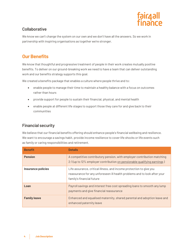

### **Collaborative**

We know we can't change the system on our own and we don't have all the answers. So we work in partnership with inspiring organisations as together we're stronger.

# **Our Benefits**

We know that thoughtful and progressive treatment of people in their work creates mutually positive benefits. To deliver on our ground-breaking work we need to have a team that can deliver outstanding work and our benefits strategy supports this goal.

We created a benefits package that enables a culture where people thrive and to:

- enable people to manage their time to maintain a healthy balance with a focus on outcomes rather than hours
- provide support for people to sustain their financial, physical, and mental health
- enable people at different life stages to support those they care for and give back to their communities

### **Financial security**

We believe that our financial benefits offering should enhance people's financial wellbeing and resilience. We want to encourage a savings habit, provide income resilience to cover life shocks or life events such as family or caring responsibilities and retirement.

| <b>Benefit</b>            | <b>Details</b>                                                                                                                                                                |
|---------------------------|-------------------------------------------------------------------------------------------------------------------------------------------------------------------------------|
| <b>Pension</b>            | A competitive contributory pension, with employer contribution matching<br>2:1(up to 12% employer contribution on pensionable qualifying earnings)                            |
| <b>Insurance policies</b> | Life assurance, critical illness, and income protection to give you<br>reassurance for any unforeseen ill health problems and to look after your<br>family's financial future |
| Loan                      | Payroll savings and interest free cost spreading loans to smooth any lump<br>payments and give financial reassurance                                                          |
| <b>Family leave</b>       | Enhanced and equalised maternity, shared parental and adoption leave and<br>enhanced paternity leave                                                                          |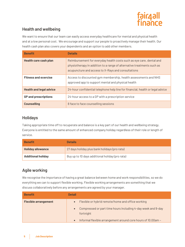

## **Health and wellbeing**

We want to ensure that our team can easily access everyday healthcare for mental and physical health and at a low personal cost. We encourage and support our people to proactively manage their health. Our health cash plan also covers your dependents and an option to add other members.

| <b>Benefit</b>                 | <b>Details</b>                                                                                                                                                                                       |
|--------------------------------|------------------------------------------------------------------------------------------------------------------------------------------------------------------------------------------------------|
| <b>Health care cash plan</b>   | Reimbursement for everyday health costs such as eye care, dental and<br>physiotherapy in addition to a range of alternative treatments such as<br>acupuncture and access to X-Rays and consultations |
| <b>Fitness and exercise</b>    | Access to discounted gym membership, health assessments and NHS<br>approved app to support mental and physical health                                                                                |
| <b>Health and legal advice</b> | 24-hour confidential telephone help line for financial, health or legal advice                                                                                                                       |
| <b>GP and prescriptions</b>    | 24-hour access to a GP with a prescription service                                                                                                                                                   |
| <b>Counselling</b>             | 8 face to face counselling sessions                                                                                                                                                                  |

### **Holidays**

Taking appropriate time off to recuperate and balance is a key part of our health and wellbeing strategy. Everyone is entitled to the same amount of enhanced company holiday regardless of their role or length of service.

| <b>Benefit</b>            | <b>Details</b>                                  |
|---------------------------|-------------------------------------------------|
| <b>Holiday allowance</b>  | 27 days holiday plus bank holidays (pro rata)   |
| <b>Additional holiday</b> | Buy up to 10 days additional holiday (pro rata) |

### **Agile working**

We recognise the importance of having a great balance between home and work responsibilities, so we do everything we can to support flexible working. Flexible working arrangements are something that we discuss collaboratively before any arrangements are agreed by your manager.

| <b>Benefit</b>              | <b>Detail</b>                                                                          |
|-----------------------------|----------------------------------------------------------------------------------------|
| <b>Flexible arrangement</b> | Flexible or hybrid remote/home and office working<br>$\bullet$                         |
|                             | Compressed or part time hours including 4-day week and 9-day<br>$\bullet$<br>fortnight |
|                             | Informal flexible arrangement around core hours of 10.00am -<br>$\bullet$              |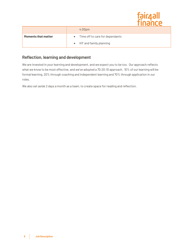

|                            | 4.00 <sub>pm</sub>                           |
|----------------------------|----------------------------------------------|
| <b>Moments that matter</b> | Time off to care for dependants<br>$\bullet$ |
|                            | • IVF and family planning                    |

### **Reflection, learning and development**

We are invested in your learning and development, and we expect you to be too. Our approach reflects what we know to be most effective, and we've adopted a 70:20:10 approach. 10% of our learning will be formal learning, 20% through coaching and independent learning and 70% through application in our roles.

We also set aside 2 days a month as a team, to create space for reading and reflection.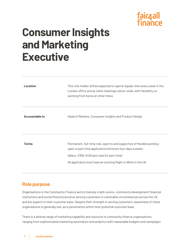

# **Consumer Insights and Marketing Executive**

| Location              | This role-holder will be expected to spend regular time every week in the<br>London office and at client meetings nation-wide; with flexibility on<br>working from home at other times                                                           |
|-----------------------|--------------------------------------------------------------------------------------------------------------------------------------------------------------------------------------------------------------------------------------------------|
| <b>Accountable to</b> | Head of Markets, Consumer Insights and Product Design                                                                                                                                                                                            |
| <b>Terms</b>          | Permanent, full-time role, open to and supportive of flexible working -<br>open to part time applicants (minimum four days a week)<br>Salary: £35k-£42k (pro rata for part time)<br>All applicants must have an existing Right to Work in the UK |

# **Role purpose**

Organisations in the Community Finance sector (namely credit unions, community development financial institutions and social fintechs) excel at serving customers in vulnerable circumstances across the UK and are experts in their customer base. Despite their strength in serving customers, awareness of these organisations is generally low, as is penetration within their potential customer base.

There is a diverse range of marketing capability and resource in community finance organisations, ranging from sophisticated marketing automation and analytics with reasonable budgets and campaigns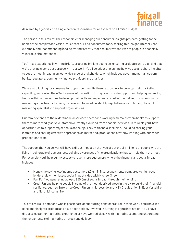

delivered by agencies, to a single person responsible for all aspects on a limited budget.

The person in this role will be responsible for managing our consumer insights projects, getting to the heart of the complex and varied issues that our end consumers face, sharing this insight internally and externally and recommending (and delivering) activity that can improve the lives of people in financially vulnerable circumstances.

You'll have experience in writing briefs, procuring brilliant agencies, ensuring projects run to plan and that we're staying true to our purpose with our work. You'll be adept at planning how we use and share insights to get the most impact from our wide range of stakeholders, which includes government, mainstream banks, regulators, community finance providers and charities.

We are also looking for someone to support community finance providers to develop their marketing capability, increasing the effectiveness of marketing through sector wide support and helping marketing teams within organisations to develop their skills and experience. You'll either deliver this from your own marketing expertise, or by being incisive and focused on identifying challenges and finding the right marketing specialists to support organisations.

Our remit extends to the wider financial services sector and working with mainstream banks to support them to more readily serve customers currently excluded from financial services. In this role you'll have opportunities to support major banks on their journey to financial inclusion, including sharing your learnings and sharing effective approaches on marketing, product and strategy, working with our wider propositions team.

The support that you deliver will have a direct impact on the lives of potentially millions of people who are living in vulnerable circumstances, building awareness of the organisations that can help them the most. For example, you'll help our investees to reach more customers, where the financial and social impact includes;

- Moneyline saving low-income customers £5.4m in interest payments compared to high cost lenders [\(view their latest social impact video with Michael Sheen\)](https://moneyline-uk.com/moneyline-social-impact/)
- Fair For You generating at [least £50.5m of social impact](http://fairforyou.org.uk/reports/) through their lending
- Credit Unions helping people in some of the most deprived areas in the UK to build their financial resilience, such as [Enterprise Credit Union](https://enterprisecreditunion.org/) in Merseyside and [HEY Credit Union](https://hullandeycu.co.uk/index) in East Yorkshire and North Lincolnshire

This role will suit someone who is passionate about putting consumers first in their work. You'll have led consumer insights projects and have been actively involved in turning insights into action. You'll have direct to customer marketing experience or have worked closely with marketing teams and understand the fundamentals of marketing strategy and delivery.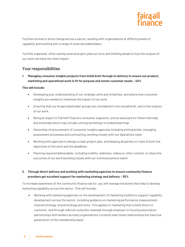

You'll be excited to drive change across a sector, working with organisations at differing levels of capability and working with a range of external stakeholders.

You'll be organised, often owning several project plans at once and thinking ahead to how the outputs of our work can have the most impact.

### **Your responsibilities**

### **1. Managing consumer insights projects from initial brief through to delivery to ensure our product, marketing and operational work is fit for purpose and meets customer needs – 40%**

### **This will include:**

- Developing your understanding of our strategic aims and initiatives, and where new consumer insights are needed to maximise the impact of our work
- Ensuring that our broad stakeholder groups are considered in the overall brief, and in the outputs, of our work
- Being an expert in Fair4All Finance's consumer segments, and an advocate for these internally and externally which may include running workshops to embed learnings
- Ownership of procurement of consumer insights agencies including writing briefs, managing assessment processes and contracting, working closely with our Operations team
- Working with agencies to design a clear project plan, and keeping all parties on track of both the objectives of the work and the deadlines
- Planning required deliverables, including toolkits, webinars, videos or other content, to share the outcomes of our work (working closely with our Communications team)

### **2. Through direct delivery and working with marketing agencies to ensure community finance providers get excellent support for marketing strategy and delivery – 30%**

To increase awareness of the community finance sector, you will manage initiatives that help to develop marketing capability across the sector. This will include:

• Working with marketing agencies on the development of marketing toolkits to support capability development across the sector, including guidance on marketing performance measurement, channel strategy, brand strategy and more. This applies to marketing that is both direct to customer, and through referral routes (for example through employer or housing association partnerships with lenders as many organisations currently have these relationships but have low penetration of the membership base)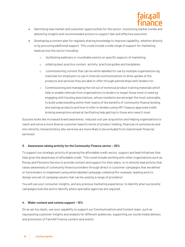

- Identifying new market and customer opportunities for the sector, monitoring market trends and delivering insights and recommended actions to support fast and effective execution
- Developing a content plan for regularly sharing knowledge to improve capability, whether directly or by procuring additional support. This could include a wide range of support for marketing leads across the sector including:
	- o facilitating webinars or roundtable events on specific aspects of marketing;
	- o collating best practice content, activity, practical guides and templates;
	- o commissioning content that can be white labelled for use by multiple organisations eg materials for employers to use in internal communications to drive uptake of the products and services they are able to offer through partnerships with lenders for.
	- Commissioning and managing the roll out of technical product training materials which help to enable referrals from organisations to lenders to target those most in need eg engaging with housing associations, whose residents are amongst the most vulnerable, to build understanding within their teams of the benefits of community finance lending and savings products and how to refer to lenders using HM Treasury approved credit broking exemptions aimed at facilitating help getting to those who need it most

Success looks like increased brand awareness, reduced cost per acquisition and helping organisations to reach and serve a more diverse customer base (in terms of product holding, financial circumstances and into minority characteristics who we know are more likely to be excluded from mainstream financial services).

### **3. Awareness raising activity for the Community Finance sector – 20%**

To support our strategic priority of growing the affordable credit sector, support and lead initiatives that help grow the awareness of affordable credit. This could include working with other organisations such as Money and Pensions Service to provide content and support for their plans, or to directly lead activity that raises awareness of community finance providers through direct to customer campaigns that we deliver or fund lenders to implement using white labelled campaign collateral (for example, leading work to design one set of campaign assets that can be used by a range of providers)

You will use your consumer insights, and any previous marketing experience, to identify what successful campaigns look like and to identify where specialist agencies are required.

### **4. Wider content and comms support – 10%**

On an ad-hoc basis, use your capability to support our Communications and Content team, such as repurposing customer insights and analysis for different audiences, supporting our social media delivery and promotion of Fair4All Finance content and events.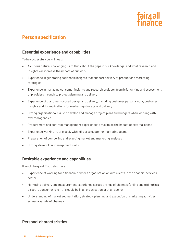

# **Person specification**

### **Essential experience and capabilities**

To be successful you will need:

- A curious nature, challenging us to think about the gaps in our knowledge, and what research and insights will increase the impact of our work
- Experience in generating actionable insights that support delivery of product and marketing strategies
- Experience in managing consumer insights and research projects, from brief writing and assessment of providers through to project planning and delivery
- Experience of customer focused design and delivery, including customer persona work, customer insights and its implications for marketing strategy and delivery
- Strong organisational skills to develop and manage project plans and budgets when working with external agencies
- Procurement and contract management experience to maximise the impact of external spend
- Experience working in, or closely with, direct to customer marketing teams
- Preparation of compelling and exacting market and marketing analyses
- Strong stakeholder management skills

### **Desirable experience and capabilities**

It would be great if you also have:

- Experience of working for a financial services organisation or with clients in the financial services sector
- Marketing delivery and measurement experience across a range of channels (online and offline) in a direct to consumer role – this could be in an organisation or at an agency
- Understanding of market segmentation, strategy, planning and execution of marketing activities across a variety of channels

### **Personal characteristics**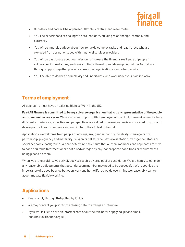

- Our ideal candidate will be organised, flexible, creative, and resourceful
- You'll be experienced at dealing with stakeholders, building relationships internally and externally
- You will be innately curious about how to tackle complex tasks and reach those who are excluded from, or not engaged with, financial services providers
- You will be passionate about our mission to increase the financial resilience of people in vulnerable circumstances, and seek continued learning and development either formally or through supporting other projects across the organisation as and when required
- You'll be able to deal with complexity and uncertainty, and work under your own initiative

# **Terms of employment**

All applicants must have an existing Right to Work in the UK.

**Fair4All Finance is committed to being a diverse organisation that is truly representative of the people and communities we serve.** We are an equal opportunities employer with an inclusive environment where different experiences, expertise and perspectives are valued, where everyone is encouraged to grow and develop and all team members can contribute to their fullest potential.

Applications are welcome from people of any age, sex, gender identity, disability, marriage or civil partnership, pregnancy and maternity, religion or belief, race, sexual orientation, transgender status or social economic background. We are determined to ensure that all team members and applicants receive fair and equitable treatment or are not disadvantaged by any inappropriate conditions or requirements being placed on them.

When we are recruiting, we actively seek to reach a diverse pool of candidates. We are happy to consider any reasonable adjustments that potential team member may need to be successful. We recognise the importance of a good balance between work and home life, so we do everything we reasonably can to accommodate flexible working.

# **Applications**

- Please apply through **BeApplied** by 18 July
- We may contact you prior to the closing date to arrange an interview
- If you would like to have an informal chat about the role before applying, please email [jobs@fair4allfinance.org.uk](mailto:jobs@fair4allfinance.org.uk)